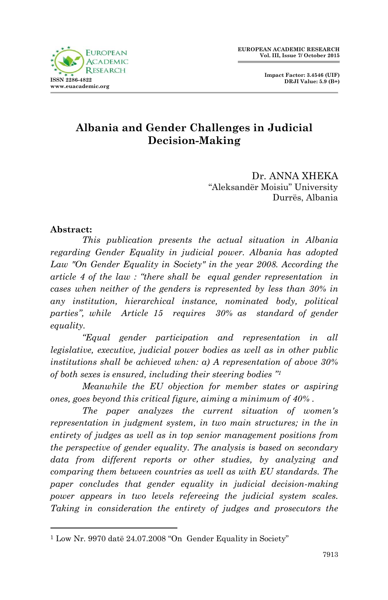



## **Albania and Gender Challenges in Judicial Decision-Making**

Dr. ANNA XHEKA "Aleksandër Moisiu" University Durrës, Albania

#### **Abstract:**

**.** 

*This publication presents the actual situation in Albania regarding Gender Equality in judicial power. Albania has adopted Law "On Gender Equality in Society" in the year 2008. According the article 4 of the law : "there shall be equal gender representation in cases when neither of the genders is represented by less than 30% in any institution, hierarchical instance, nominated body, political parties", while Article 15 requires 30% as standard of gender equality.*

*"Equal gender participation and representation in all legislative, executive, judicial power bodies as well as in other public institutions shall be achieved when: a) A representation of above 30% of both sexes is ensured, including their steering bodies "<sup>1</sup>*

*Meanwhile the EU objection for member states or aspiring ones, goes beyond this critical figure, aiming a minimum of 40% .*

*The paper analyzes the current situation of women's representation in judgment system, in two main structures; in the in entirety of judges as well as in top senior management positions from the perspective of gender equality. The analysis is based on secondary data from different reports or other studies, by analyzing and comparing them between countries as well as with EU standards. The paper concludes that gender equality in judicial decision-making power appears in two levels refereeing the judicial system scales. Taking in consideration the entirety of judges and prosecutors the* 

<sup>&</sup>lt;sup>1</sup> Low Nr. 9970 datë 24.07.2008 "On Gender Equality in Society"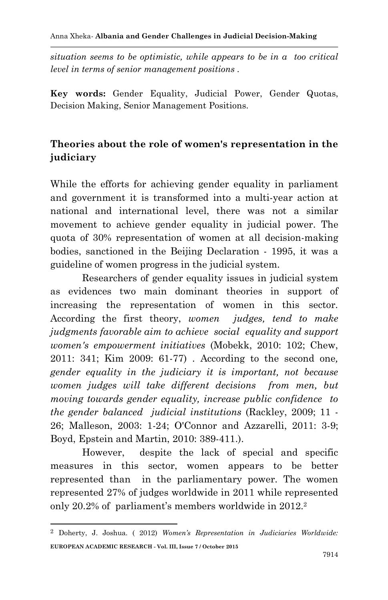*situation seems to be optimistic, while appears to be in a too critical level in terms of senior management positions .*

**Key words:** Gender Equality, Judicial Power, Gender Quotas, Decision Making, Senior Management Positions.

# **Theories about the role of women's representation in the judiciary**

While the efforts for achieving gender equality in parliament and government it is transformed into a multi-year action at national and international level, there was not a similar movement to achieve gender equality in judicial power. The quota of 30% representation of women at all decision-making bodies, sanctioned in the Beijing Declaration - 1995, it was a guideline of women progress in the judicial system.

Researchers of gender equality issues in judicial system as evidences two main dominant theories in support of increasing the representation of women in this sector. According the first theory, *women judges, tend to make judgments favorable aim to achieve social equality and support women's empowerment initiatives* (Mobekk, 2010: 102; Chew, 2011: 341; Kim 2009: 61-77) . According to the second one*, gender equality in the judiciary it is important, not because women judges will take different decisions from men, but moving towards gender equality, increase public confidence to the gender balanced judicial institutions* (Rackley, 2009; 11 - 26; Malleson, 2003: 1-24; O'Connor and Azzarelli, 2011: 3-9; Boyd, Epstein and Martin, 2010: 389-411.).

However, despite the lack of special and specific measures in this sector, women appears to be better represented than in the parliamentary power. The women represented 27% of judges worldwide in 2011 while represented only 20.2% of parliament's members worldwide in 2012. 2

**EUROPEAN ACADEMIC RESEARCH - Vol. III, Issue 7 / October 2015** 1 <sup>2</sup> Doherty, J. Joshua. ( 2012) *Women's Representation in Judiciaries Worldwide:*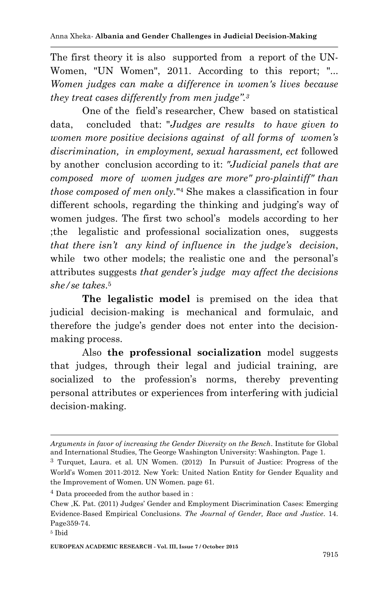The first theory it is also supported from a report of the UN-Women, "UN Women", 2011. According to this report; "... *Women judges can make a difference in women's lives because they treat cases differently from men judge".<sup>3</sup>*

One of the field's researcher, Chew based on statistical data, concluded that: "*Judges are results to have given to women more positive decisions against of all forms of women's discrimination, in employment, sexual harassment, ect* followed by another conclusion according to it: *"Judicial panels that are composed more of women judges are more" pro-plaintiff" than those composed of men only.*" <sup>4</sup> She makes a classification in four different schools, regarding the thinking and judging's way of women judges. The first two school's models according to her ;the legalistic and professional socialization ones, suggests *that there isn't any kind of influence in the judge's decision*, while two other models; the realistic one and the personal's attributes suggests *that gender's judge may affect the decisions she/se takes*. 5

**The legalistic model** is premised on the idea that judicial decision-making is mechanical and formulaic, and therefore the judge's gender does not enter into the decisionmaking process.

Also **the professional socialization** model suggests that judges, through their legal and judicial training, are socialized to the profession's norms, thereby preventing personal attributes or experiences from interfering with judicial decision-making.

<sup>1</sup> *Arguments in favor of increasing the Gender Diversity on the Bench*. Institute for Global and International Studies, The George Washington University: Washington. Page 1.

<sup>3</sup> Turquet, Laura. et al. UN Women. (2012) In Pursuit of Justice: Progress of the World's Women 2011-2012. New York: United Nation Entity for Gender Equality and the Improvement of Women. UN Women. page 61.

<sup>4</sup> Data proceeded from the author based in :

Chew ,K. Pat. (2011) Judges' Gender and Employment Discrimination Cases: Emerging Evidence-Based Empirical Conclusions. *The Journal of Gender, Race and Justice*. 14. Page359-74.

<sup>5</sup> Ibid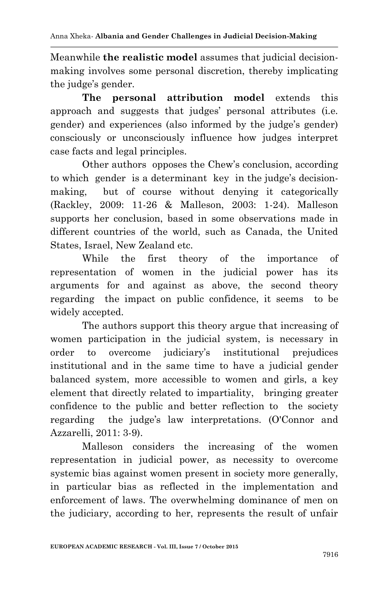Meanwhile **the realistic model** assumes that judicial decisionmaking involves some personal discretion, thereby implicating the judge's gender.

**The personal attribution model** extends this approach and suggests that judges' personal attributes (i.e. gender) and experiences (also informed by the judge's gender) consciously or unconsciously influence how judges interpret case facts and legal principles.

Other authors opposes the Chew's conclusion, according to which gender is a determinant key in the judge's decisionmaking, but of course without denying it categorically (Rackley, 2009: 11-26 & Malleson, 2003: 1-24). Malleson supports her conclusion, based in some observations made in different countries of the world, such as Canada, the United States, Israel, New Zealand etc.

While the first theory of the importance of representation of women in the judicial power has its arguments for and against as above, the second theory regarding the impact on public confidence, it seems to be widely accepted.

The authors support this theory argue that increasing of women participation in the judicial system, is necessary in order to overcome judiciary's institutional prejudices institutional and in the same time to have a judicial gender balanced system, more accessible to women and girls, a key element that directly related to impartiality, bringing greater confidence to the public and better reflection to the society regarding the judge's law interpretations. (O'Connor and Azzarelli, 2011: 3-9).

Malleson considers the increasing of the women representation in judicial power, as necessity to overcome systemic bias against women present in society more generally, in particular bias as reflected in the implementation and enforcement of laws. The overwhelming dominance of men on the judiciary, according to her, represents the result of unfair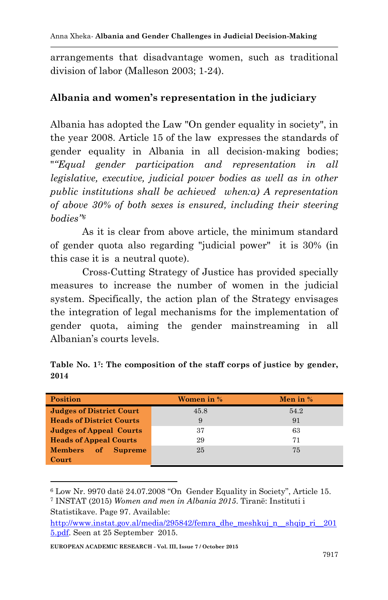arrangements that disadvantage women, such as traditional division of labor (Malleson 2003; 1-24).

#### **Albania and women's representation in the judiciary**

Albania has adopted the Law "On gender equality in society", in the year 2008. Article 15 of the law expresses the standards of gender equality in Albania in all decision-making bodies; "*"Equal gender participation and representation in all legislative, executive, judicial power bodies as well as in other public institutions shall be achieved when:a) A representation of above 30% of both sexes is ensured, including their steering bodies"<sup>6</sup>*

As it is clear from above article, the minimum standard of gender quota also regarding "judicial power" it is 30% (in this case it is a neutral quote).

Cross-Cutting Strategy of Justice has provided specially measures to increase the number of women in the judicial system. Specifically, the action plan of the Strategy envisages the integration of legal mechanisms for the implementation of gender quota, aiming the gender mainstreaming in all Albanian's courts levels.

| <b>Position</b>                 | <b>Women in %</b> | Men in $%$ |
|---------------------------------|-------------------|------------|
| <b>Judges of District Court</b> | 45.8              | 54.2       |
| <b>Heads of District Courts</b> | 9                 | 91         |
| <b>Judges of Appeal Courts</b>  | 37                | 63         |
| <b>Heads of Appeal Courts</b>   | 29                | 71         |
| Members of Supreme              | 25                | 75         |
| Court                           |                   |            |

**Table No. 1<sup>7</sup>: The composition of the staff corps of justice by gender, 2014** 

Statistikave. Page 97. Available:

**.** 

<sup>6</sup> Low Nr. 9970 datë 24.07.2008 "On Gender Equality in Society", Article 15. <sup>7</sup> INSTAT (2015) *Women and men in Albania 2015*. Tiranë: Instituti i

[http://www.instat.gov.al/media/295842/femra\\_dhe\\_meshkuj\\_n\\_\\_shqip\\_ri\\_\\_201](http://www.instat.gov.al/media/295842/femra_dhe_meshkuj_n__shqip_ri__2015.pdf) [5.pdf.](http://www.instat.gov.al/media/295842/femra_dhe_meshkuj_n__shqip_ri__2015.pdf) Seen at 25 September 2015.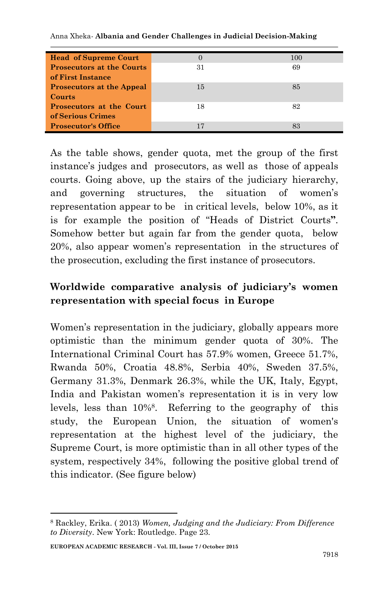| <b>Head of Supreme Court</b>     | 0  | 100 |
|----------------------------------|----|-----|
| <b>Prosecutors at the Courts</b> | 31 | 69  |
| of First Instance                |    |     |
| <b>Prosecutors at the Appeal</b> | 15 | 85  |
| Courts                           |    |     |
| <b>Prosecutors at the Court</b>  | 18 | 82  |
| of Serious Crimes                |    |     |
| <b>Prosecutor's Office</b>       | 17 | 83  |

Anna Xheka*-* **Albania and Gender Challenges in Judicial Decision-Making**

As the table shows, gender quota, met the group of the first instance's judges and prosecutors, as well as those of appeals courts. Going above, up the stairs of the judiciary hierarchy, and governing structures, the situation of women's representation appear to be in critical levels, below 10%, as it is for example the position of "Heads of District Courts**"**. Somehow better but again far from the gender quota, below 20%, also appear women's representation in the structures of the prosecution, excluding the first instance of prosecutors.

# **Worldwide comparative analysis of judiciary's women representation with special focus in Europe**

Women's representation in the judiciary, globally appears more optimistic than the minimum gender quota of 30%. The International Criminal Court has 57.9% women, Greece 51.7%, Rwanda 50%, Croatia 48.8%, Serbia 40%, Sweden 37.5%, Germany 31.3%, Denmark 26.3%, while the UK, Italy, Egypt, India and Pakistan women's representation it is in very low levels, less than 10%<sup>8</sup> . Referring to the geography of this study, the European Union, the situation of women's representation at the highest level of the judiciary, the Supreme Court, is more optimistic than in all other types of the system, respectively 34%, following the positive global trend of this indicator. (See figure below)

1

<sup>8</sup> Rackley, Erika. ( 2013) *Women, Judging and the Judiciary: From Difference to Diversity*. New York: Routledge. Page 23.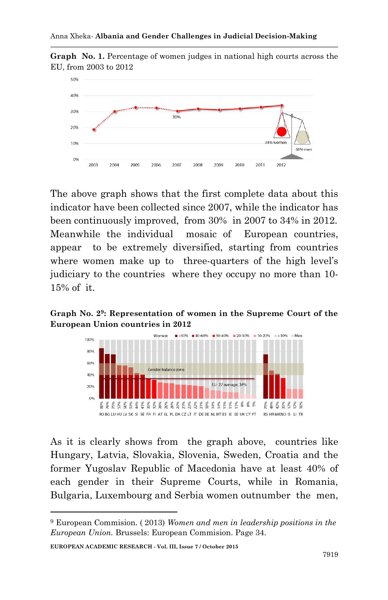

**Graph No. 1.** Percentage of women judges in national high courts across the EU, from 2003 to 2012

The above graph shows that the first complete data about this indicator have been collected since 2007, while the indicator has been continuously improved, from 30% in 2007 to 34% in 2012. Meanwhile the individual mosaic of European countries, appear to be extremely diversified, starting from countries where women make up to three-quarters of the high level's judiciary to the countries where they occupy no more than 10- 15% of it.

#### **Graph No. 2<sup>9</sup>: Representation of women in the Supreme Court of the European Union countries in 2012**



As it is clearly shows from the graph above, countries like Hungary, Latvia, Slovakia, Slovenia, Sweden, Croatia and the former Yugoslav Republic of Macedonia have at least 40% of each gender in their Supreme Courts, while in Romania, Bulgaria, Luxembourg and Serbia women outnumber the men,

**EUROPEAN ACADEMIC RESEARCH - Vol. III, Issue 7 / October 2015**

**.** 

<sup>9</sup> European Commision. ( 2013) *Women and men in leadership positions in the European Union.* Brussels: European Commision. Page 34.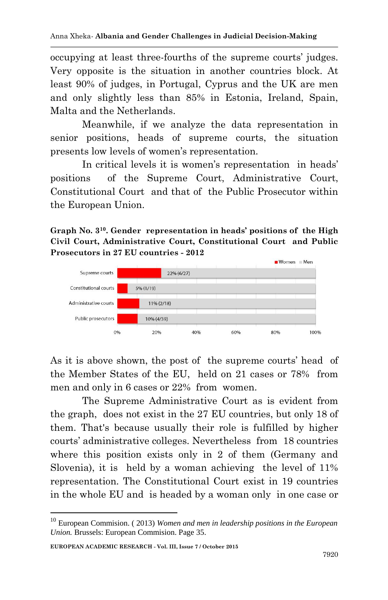occupying at least three-fourths of the supreme courts' judges. Very opposite is the situation in another countries block. At least 90% of judges, in Portugal, Cyprus and the UK are men and only slightly less than 85% in Estonia, Ireland, Spain, Malta and the Netherlands.

Meanwhile, if we analyze the data representation in senior positions, heads of supreme courts, the situation presents low levels of women's representation.

In critical levels it is women's representation in heads' positions of the Supreme Court, Administrative Court, Constitutional Court and that of the Public Prosecutor within the European Union.

**Graph No. 3<sup>10</sup>. Gender representation in heads' positions of the High Civil Court, Administrative Court, Constitutional Court and Public Prosecutors in 27 EU countries - 2012**



As it is above shown, the post of the supreme courts' head of the Member States of the EU, held on 21 cases or 78% from men and only in 6 cases or 22% from women.

The Supreme Administrative Court as is evident from the graph, does not exist in the 27 EU countries, but only 18 of them. That's because usually their role is fulfilled by higher courts' administrative colleges. Nevertheless from 18 countries where this position exists only in 2 of them (Germany and Slovenia), it is held by a woman achieving the level of 11% representation. The Constitutional Court exist in 19 countries in the whole EU and is headed by a woman only in one case or

**EUROPEAN ACADEMIC RESEARCH - Vol. III, Issue 7 / October 2015**

-

<sup>10</sup> European Commision. ( 2013) *Women and men in leadership positions in the European Union.* Brussels: European Commision. Page 35.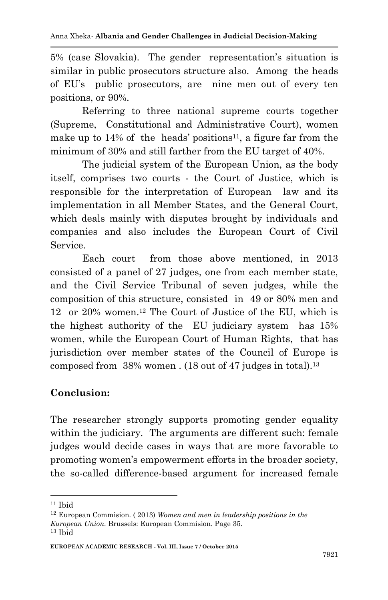5% (case Slovakia). The gender representation's situation is similar in public prosecutors structure also. Among the heads of EU's public prosecutors, are nine men out of every ten positions, or 90%.

Referring to three national supreme courts together (Supreme, Constitutional and Administrative Court), women make up to 14% of the heads' positions<sup>11</sup>, a figure far from the minimum of 30% and still farther from the EU target of 40%.

The judicial system of the European Union, as the body itself, comprises two courts - the Court of Justice, which is responsible for the interpretation of European law and its implementation in all Member States, and the General Court, which deals mainly with disputes brought by individuals and companies and also includes the European Court of Civil Service.

Each court from those above mentioned, in 2013 consisted of a panel of 27 judges, one from each member state, and the Civil Service Tribunal of seven judges, while the composition of this structure, consisted in 49 or 80% men and 12 or 20% women. <sup>12</sup> The Court of Justice of the EU, which is the highest authority of the EU judiciary system has 15% women, while the European Court of Human Rights, that has jurisdiction over member states of the Council of Europe is composed from  $38\%$  women. (18 out of 47 judges in total).<sup>13</sup>

## **Conclusion:**

The researcher strongly supports promoting gender equality within the judiciary. The arguments are different such: female judges would decide cases in ways that are more favorable to promoting women's empowerment efforts in the broader society, the so-called difference-based argument for increased female

**.** 

 $11$  Ibid

<sup>12</sup> European Commision. ( 2013) *Women and men in leadership positions in the European Union.* Brussels: European Commision. Page 35.

<sup>13</sup> Ibid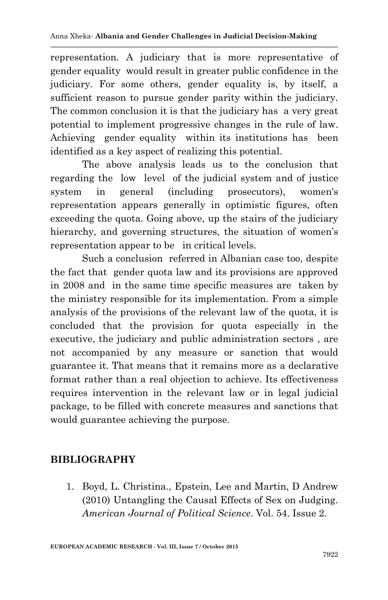representation. A judiciary that is more representative of gender equality would result in greater public confidence in the judiciary. For some others, gender equality is, by itself, a sufficient reason to pursue gender parity within the judiciary. The common conclusion it is that the judiciary has a very great potential to implement progressive changes in the rule of law. Achieving gender equality within its institutions has been identified as a key aspect of realizing this potential.

The above analysis leads us to the conclusion that regarding the low level of the judicial system and of justice system in general (including prosecutors), women's representation appears generally in optimistic figures, often exceeding the quota. Going above, up the stairs of the judiciary hierarchy, and governing structures, the situation of women's representation appear to be in critical levels.

Such a conclusion referred in Albanian case too, despite the fact that gender quota law and its provisions are approved in 2008 and in the same time specific measures are taken by the ministry responsible for its implementation. From a simple analysis of the provisions of the relevant law of the quota, it is concluded that the provision for quota especially in the executive, the judiciary and public administration sectors , are not accompanied by any measure or sanction that would guarantee it. That means that it remains more as a declarative format rather than a real objection to achieve. Its effectiveness requires intervention in the relevant law or in legal judicial package, to be filled with concrete measures and sanctions that would guarantee achieving the purpose.

### **BIBLIOGRAPHY**

1. Boyd, L. Christina., Epstein, Lee and Martin, D Andrew (2010) Untangling the Causal Effects of Sex on Judging. *American Journal of Political Science*. Vol. 54. Issue 2.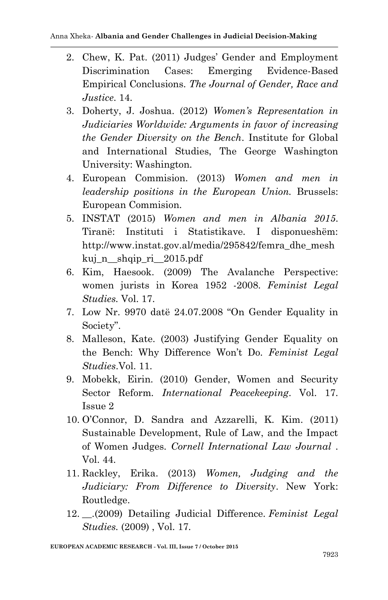- 2. Chew, K. Pat. (2011) Judges' Gender and Employment Discrimination Cases: Emerging Evidence-Based Empirical Conclusions. *The Journal of Gender, Race and Justice*. 14.
- 3. Doherty, J. Joshua. (2012) *Women's Representation in Judiciaries Worldwide: Arguments in favor of increasing the Gender Diversity on the Bench*. Institute for Global and International Studies, The George Washington University: Washington.
- 4. European Commision. (2013) *Women and men in leadership positions in the European Union.* Brussels: European Commision.
- 5. INSTAT (2015) *Women and men in Albania 2015*. Tiranë: Instituti i Statistikave. I disponueshëm: http://www.instat.gov.al/media/295842/femra\_dhe\_mesh kuj\_n\_\_shqip\_ri\_\_2015.pdf
- 6. Kim, Haesook. (2009) The Avalanche Perspective: women jurists in Korea 1952 -2008. *Feminist Legal Studies.* Vol. 17.
- 7. Low Nr. 9970 datë 24.07.2008 "On Gender Equality in Society".
- 8. Malleson, Kate. (2003) Justifying Gender Equality on the Bench: Why Difference Won't Do. *Feminist Legal Studies*.Vol. 11.
- 9. Mobekk, Eirin. (2010) Gender, Women and Security Sector Reform*. International Peacekeeping*. Vol. 17. Issue 2
- 10. O'Connor, D. Sandra and Azzarelli, K. Kim. (2011) Sustainable Development, Rule of Law, and the Impact of Women Judges. *Cornell International Law Journal* . Vol. 44.
- 11. Rackley, Erika. (2013) *Women, Judging and the Judiciary: From Difference to Diversity*. New York: Routledge.
- 12. \_\_.(2009) Detailing Judicial Difference. *Feminist Legal Studies.* (2009) , Vol. 17.